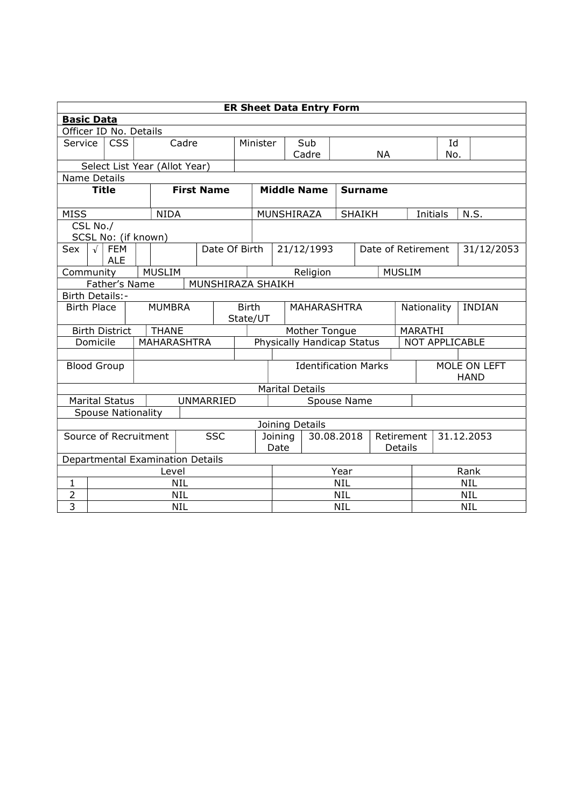|                                     | <b>ER Sheet Data Entry Form</b>     |                                        |                           |                   |                          |               |                            |                             |                        |  |                |                    |      |                             |                       |      |  |
|-------------------------------------|-------------------------------------|----------------------------------------|---------------------------|-------------------|--------------------------|---------------|----------------------------|-----------------------------|------------------------|--|----------------|--------------------|------|-----------------------------|-----------------------|------|--|
|                                     | <b>Basic Data</b>                   |                                        |                           |                   |                          |               |                            |                             |                        |  |                |                    |      |                             |                       |      |  |
|                                     |                                     |                                        | Officer ID No. Details    |                   |                          |               |                            |                             |                        |  |                |                    |      |                             |                       |      |  |
|                                     | <b>CSS</b><br>Service               |                                        |                           | Cadre             |                          |               | Minister                   |                             | Sub                    |  |                |                    |      |                             | Id                    |      |  |
|                                     |                                     |                                        |                           |                   | Cadre                    |               |                            | <b>NA</b>                   |                        |  |                | No.                |      |                             |                       |      |  |
| Select List Year (Allot Year)       |                                     |                                        |                           |                   |                          |               |                            |                             |                        |  |                |                    |      |                             |                       |      |  |
|                                     | Name Details                        |                                        |                           |                   |                          |               |                            |                             |                        |  |                |                    |      |                             |                       |      |  |
|                                     | <b>Title</b>                        |                                        |                           | <b>First Name</b> |                          |               | <b>Middle Name</b>         |                             |                        |  | <b>Surname</b> |                    |      |                             |                       |      |  |
| <b>MISS</b>                         |                                     |                                        | <b>NIDA</b>               |                   |                          |               |                            |                             | MUNSHIRAZA             |  |                | <b>SHAIKH</b>      |      |                             | Initials              | N.S. |  |
|                                     | CSL No./                            |                                        |                           |                   |                          |               |                            |                             |                        |  |                |                    |      |                             |                       |      |  |
|                                     |                                     |                                        | SCSL No: (if known)       |                   |                          |               |                            |                             |                        |  |                |                    |      |                             |                       |      |  |
| Sex                                 |                                     | $\sqrt{\phantom{a}}$ FEM<br><b>ALE</b> |                           |                   |                          | Date Of Birth |                            |                             | 21/12/1993             |  |                | Date of Retirement |      | 31/12/2053                  |                       |      |  |
|                                     | <b>MUSLIM</b><br>Community          |                                        |                           |                   |                          |               |                            | Religion                    |                        |  | <b>MUSLIM</b>  |                    |      |                             |                       |      |  |
|                                     | Father's Name<br>MUNSHIRAZA SHAIKH  |                                        |                           |                   |                          |               |                            |                             |                        |  |                |                    |      |                             |                       |      |  |
| Birth Details:-                     |                                     |                                        |                           |                   |                          |               |                            |                             |                        |  |                |                    |      |                             |                       |      |  |
|                                     | <b>MUMBRA</b><br><b>Birth Place</b> |                                        |                           |                   | <b>Birth</b><br>State/UT |               |                            | <b>MAHARASHTRA</b>          |                        |  |                | Nationality        |      | <b>INDIAN</b>               |                       |      |  |
|                                     |                                     | <b>Birth District</b>                  | <b>THANE</b>              |                   |                          |               | Mother Tongue              |                             |                        |  |                | MARATHI            |      |                             |                       |      |  |
|                                     | Domicile                            |                                        | <b>MAHARASHTRA</b>        |                   |                          |               | Physically Handicap Status |                             |                        |  |                |                    |      |                             | <b>NOT APPLICABLE</b> |      |  |
|                                     |                                     |                                        |                           |                   |                          |               |                            |                             |                        |  |                |                    |      |                             |                       |      |  |
| <b>Blood Group</b>                  |                                     |                                        |                           |                   |                          |               |                            | <b>Identification Marks</b> |                        |  |                |                    |      | MOLE ON LEFT<br><b>HAND</b> |                       |      |  |
|                                     |                                     |                                        |                           |                   |                          |               |                            |                             | <b>Marital Details</b> |  |                |                    |      |                             |                       |      |  |
|                                     |                                     | <b>Marital Status</b>                  |                           |                   | UNMARRIED                |               | Spouse Name                |                             |                        |  |                |                    |      |                             |                       |      |  |
|                                     |                                     |                                        | <b>Spouse Nationality</b> |                   |                          |               |                            |                             |                        |  |                |                    |      |                             |                       |      |  |
|                                     | Joining Details                     |                                        |                           |                   |                          |               |                            |                             |                        |  |                |                    |      |                             |                       |      |  |
| <b>SSC</b><br>Source of Recruitment |                                     |                                        |                           |                   | Joining                  | 30.08.2018    |                            | Retirement                  |                        |  | 31.12.2053     |                    |      |                             |                       |      |  |
|                                     |                                     |                                        |                           |                   | Date<br>Details          |               |                            |                             |                        |  |                |                    |      |                             |                       |      |  |
|                                     | Departmental Examination Details    |                                        |                           |                   |                          |               |                            |                             |                        |  |                |                    |      |                             |                       |      |  |
|                                     | Level                               |                                        |                           |                   |                          |               | Year                       |                             |                        |  |                |                    | Rank |                             |                       |      |  |
| $\mathbf{1}$                        | <b>NIL</b>                          |                                        |                           |                   |                          |               | <b>NIL</b>                 |                             |                        |  |                | <b>NIL</b>         |      |                             |                       |      |  |
| 2                                   | <b>NIL</b>                          |                                        |                           |                   |                          |               | <b>NIL</b>                 |                             |                        |  |                | <b>NIL</b>         |      |                             |                       |      |  |
| 3                                   | <b>NIL</b>                          |                                        |                           |                   |                          |               | <b>NIL</b>                 |                             |                        |  |                |                    |      | <b>NIL</b>                  |                       |      |  |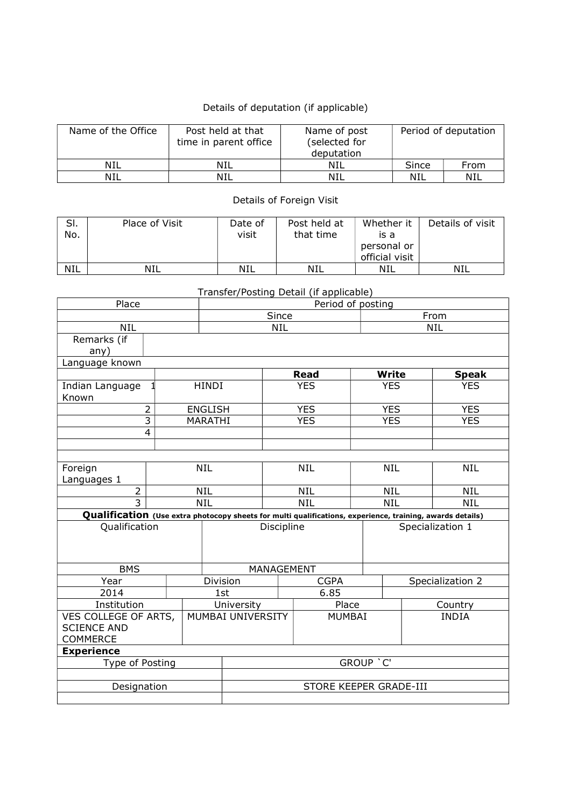## Details of deputation (if applicable)

| Name of the Office | Post held at that<br>time in parent office | Name of post<br>(selected for<br>deputation | Period of deputation |      |  |
|--------------------|--------------------------------------------|---------------------------------------------|----------------------|------|--|
| NIL                | <b>NIL</b>                                 | NIL                                         | Since                | From |  |
| NIL                | NIL                                        | NIL                                         | NIL                  | NIL  |  |

Details of Foreign Visit

| SI.<br>No. | Place of Visit | Date of<br>visit | Post held at<br>that time | Whether it<br>is a<br>personal or<br>official visit | Details of visit |
|------------|----------------|------------------|---------------------------|-----------------------------------------------------|------------------|
| <b>NIL</b> | NIL            | <b>NIL</b>       | NIL                       | NIL                                                 | NIL              |

Transfer/Posting Detail (if applicable)

| Place                                                                                                     |                         | Period of posting        |                         |               |            |            |                  |              |  |  |
|-----------------------------------------------------------------------------------------------------------|-------------------------|--------------------------|-------------------------|---------------|------------|------------|------------------|--------------|--|--|
|                                                                                                           |                         |                          | Since                   |               | From       |            |                  |              |  |  |
| <b>NIL</b>                                                                                                |                         | <b>NIL</b><br><b>NIL</b> |                         |               |            |            |                  |              |  |  |
| Remarks (if                                                                                               |                         |                          |                         |               |            |            |                  |              |  |  |
| any)                                                                                                      |                         |                          |                         |               |            |            |                  |              |  |  |
| Language known                                                                                            |                         |                          |                         |               |            |            |                  |              |  |  |
|                                                                                                           |                         |                          |                         |               | Read       |            | Write            | <b>Speak</b> |  |  |
| Indian Language<br>Known                                                                                  |                         | <b>HINDI</b>             |                         | <b>YES</b>    |            | <b>YES</b> |                  | <b>YES</b>   |  |  |
|                                                                                                           | $\overline{2}$          | <b>ENGLISH</b>           |                         |               | <b>YES</b> |            | <b>YES</b>       | <b>YES</b>   |  |  |
|                                                                                                           | 3                       | MARATHI                  |                         |               | <b>YES</b> |            | <b>YES</b>       | <b>YES</b>   |  |  |
|                                                                                                           | $\overline{\mathbf{4}}$ |                          |                         |               |            |            |                  |              |  |  |
|                                                                                                           |                         |                          |                         |               |            |            |                  |              |  |  |
|                                                                                                           |                         |                          |                         |               |            |            |                  |              |  |  |
| Foreign                                                                                                   | <b>NIL</b>              |                          | <b>NIL</b>              |               |            | <b>NIL</b> | <b>NIL</b>       |              |  |  |
| Languages 1                                                                                               |                         |                          |                         |               |            |            |                  |              |  |  |
| $\overline{2}$                                                                                            | <b>NIL</b>              |                          | <b>NIL</b>              |               |            | <b>NIL</b> | <b>NIL</b>       |              |  |  |
| $\overline{3}$                                                                                            | <b>NIL</b>              |                          |                         | <b>NIL</b>    | <b>NIL</b> |            | <b>NIL</b>       |              |  |  |
| Qualification (Use extra photocopy sheets for multi qualifications, experience, training, awards details) |                         |                          |                         |               |            |            |                  |              |  |  |
| Qualification                                                                                             |                         |                          |                         | Discipline    |            |            | Specialization 1 |              |  |  |
|                                                                                                           |                         |                          |                         |               |            |            |                  |              |  |  |
|                                                                                                           |                         |                          |                         |               |            |            |                  |              |  |  |
| <b>BMS</b>                                                                                                |                         |                          | MANAGEMENT              |               |            |            |                  |              |  |  |
| Year                                                                                                      |                         |                          | <b>CGPA</b><br>Division |               |            |            | Specialization 2 |              |  |  |
| 2014                                                                                                      |                         |                          | 1st                     |               | 6.85       |            |                  |              |  |  |
| Institution                                                                                               |                         |                          | University              |               | Place      |            | Country          |              |  |  |
| VES COLLEGE OF ARTS,                                                                                      |                         | <b>MUMBAI UNIVERSITY</b> |                         | <b>MUMBAI</b> |            |            | <b>INDIA</b>     |              |  |  |
| <b>SCIENCE AND</b>                                                                                        |                         |                          |                         |               |            |            |                  |              |  |  |
| <b>COMMERCE</b>                                                                                           |                         |                          |                         |               |            |            |                  |              |  |  |
| <b>Experience</b>                                                                                         |                         |                          |                         |               |            |            |                  |              |  |  |
| Type of Posting                                                                                           |                         |                          | GROUP 'C'               |               |            |            |                  |              |  |  |
|                                                                                                           |                         |                          |                         |               |            |            |                  |              |  |  |
| Designation                                                                                               |                         |                          | STORE KEEPER GRADE-III  |               |            |            |                  |              |  |  |
|                                                                                                           |                         |                          |                         |               |            |            |                  |              |  |  |